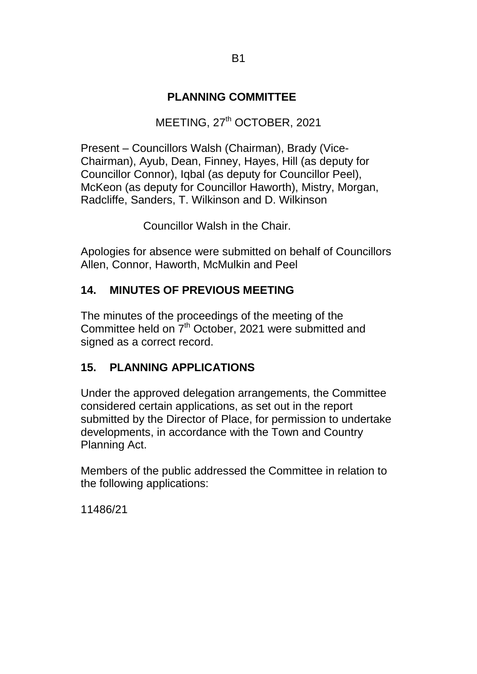## **PLANNING COMMITTEE**

## MEETING, 27<sup>th</sup> OCTOBER, 2021

Present – Councillors Walsh (Chairman), Brady (Vice-Chairman), Ayub, Dean, Finney, Hayes, Hill (as deputy for Councillor Connor), Iqbal (as deputy for Councillor Peel), McKeon (as deputy for Councillor Haworth), Mistry, Morgan, Radcliffe, Sanders, T. Wilkinson and D. Wilkinson

Councillor Walsh in the Chair.

Apologies for absence were submitted on behalf of Councillors Allen, Connor, Haworth, McMulkin and Peel

## **14. MINUTES OF PREVIOUS MEETING**

The minutes of the proceedings of the meeting of the Committee held on 7<sup>th</sup> October, 2021 were submitted and signed as a correct record.

## **15. PLANNING APPLICATIONS**

Under the approved delegation arrangements, the Committee considered certain applications, as set out in the report submitted by the Director of Place, for permission to undertake developments, in accordance with the Town and Country Planning Act.

Members of the public addressed the Committee in relation to the following applications:

11486/21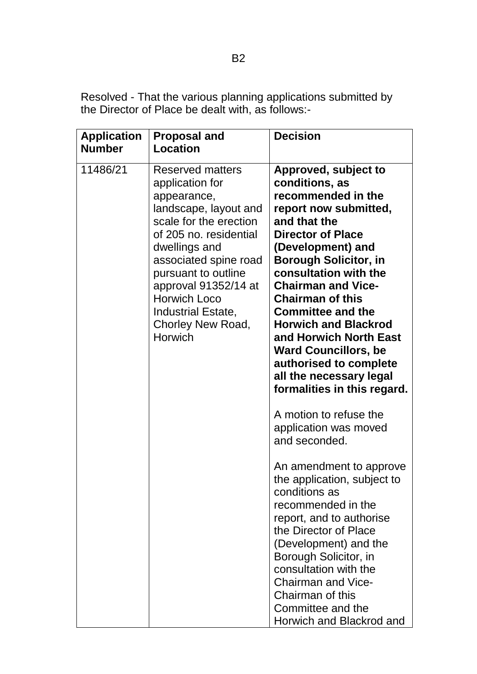Resolved - That the various planning applications submitted by the Director of Place be dealt with, as follows:-

| <b>Application</b><br><b>Number</b> | <b>Proposal and</b><br>Location                                                                                                                                                                                                                                                                                     | <b>Decision</b>                                                                                                                                                                                                                                                                                                                                                                                                                                                                                                                                                                                                                                                                                                                                                                                                                                                                        |
|-------------------------------------|---------------------------------------------------------------------------------------------------------------------------------------------------------------------------------------------------------------------------------------------------------------------------------------------------------------------|----------------------------------------------------------------------------------------------------------------------------------------------------------------------------------------------------------------------------------------------------------------------------------------------------------------------------------------------------------------------------------------------------------------------------------------------------------------------------------------------------------------------------------------------------------------------------------------------------------------------------------------------------------------------------------------------------------------------------------------------------------------------------------------------------------------------------------------------------------------------------------------|
| 11486/21                            | <b>Reserved matters</b><br>application for<br>appearance,<br>landscape, layout and<br>scale for the erection<br>of 205 no. residential<br>dwellings and<br>associated spine road<br>pursuant to outline<br>approval 91352/14 at<br><b>Horwich Loco</b><br>Industrial Estate,<br>Chorley New Road,<br><b>Horwich</b> | Approved, subject to<br>conditions, as<br>recommended in the<br>report now submitted,<br>and that the<br><b>Director of Place</b><br>(Development) and<br><b>Borough Solicitor, in</b><br>consultation with the<br><b>Chairman and Vice-</b><br><b>Chairman of this</b><br><b>Committee and the</b><br><b>Horwich and Blackrod</b><br>and Horwich North East<br><b>Ward Councillors, be</b><br>authorised to complete<br>all the necessary legal<br>formalities in this regard.<br>A motion to refuse the<br>application was moved<br>and seconded.<br>An amendment to approve<br>the application, subject to<br>conditions as<br>recommended in the<br>report, and to authorise<br>the Director of Place<br>(Development) and the<br>Borough Solicitor, in<br>consultation with the<br><b>Chairman and Vice-</b><br>Chairman of this<br>Committee and the<br>Horwich and Blackrod and |